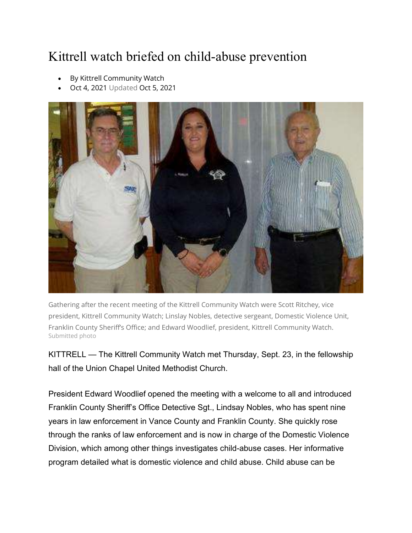## Kittrell watch briefed on child-abuse prevention

- By Kittrell Community Watch
- Oct 4, 2021 Updated Oct 5, 2021



Gathering after the recent meeting of the Kittrell Community Watch were Scott Ritchey, vice president, Kittrell Community Watch; Linslay Nobles, detective sergeant, Domestic Violence Unit, Franklin County Sheriff's Office; and Edward Woodlief, president, Kittrell Community Watch. Submitted photo

KITTRELL — The Kittrell Community Watch met Thursday, Sept. 23, in the fellowship hall of the Union Chapel United Methodist Church.

President Edward Woodlief opened the meeting with a welcome to all and introduced Franklin County Sheriff's Office Detective Sgt., Lindsay Nobles, who has spent nine years in law enforcement in Vance County and Franklin County. She quickly rose through the ranks of law enforcement and is now in charge of the Domestic Violence Division, which among other things investigates child-abuse cases. Her informative program detailed what is domestic violence and child abuse. Child abuse can be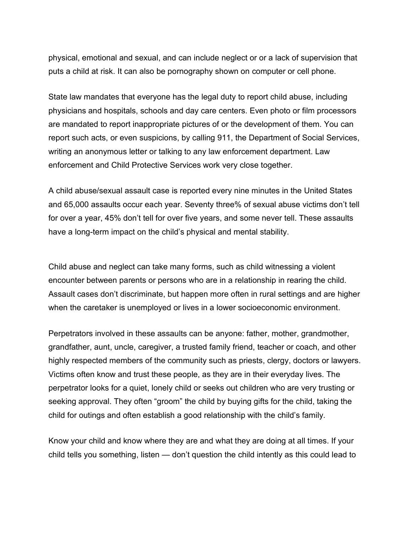physical, emotional and sexual, and can include neglect or or a lack of supervision that puts a child at risk. It can also be pornography shown on computer or cell phone.

State law mandates that everyone has the legal duty to report child abuse, including physicians and hospitals, schools and day care centers. Even photo or film processors are mandated to report inappropriate pictures of or the development of them. You can report such acts, or even suspicions, by calling 911, the Department of Social Services, writing an anonymous letter or talking to any law enforcement department. Law enforcement and Child Protective Services work very close together.

A child abuse/sexual assault case is reported every nine minutes in the United States and 65,000 assaults occur each year. Seventy three% of sexual abuse victims don't tell for over a year, 45% don't tell for over five years, and some never tell. These assaults have a long-term impact on the child's physical and mental stability.

Child abuse and neglect can take many forms, such as child witnessing a violent encounter between parents or persons who are in a relationship in rearing the child. Assault cases don't discriminate, but happen more often in rural settings and are higher when the caretaker is unemployed or lives in a lower socioeconomic environment.

Perpetrators involved in these assaults can be anyone: father, mother, grandmother, grandfather, aunt, uncle, caregiver, a trusted family friend, teacher or coach, and other highly respected members of the community such as priests, clergy, doctors or lawyers. Victims often know and trust these people, as they are in their everyday lives. The perpetrator looks for a quiet, lonely child or seeks out children who are very trusting or seeking approval. They often "groom" the child by buying gifts for the child, taking the child for outings and often establish a good relationship with the child's family.

Know your child and know where they are and what they are doing at all times. If your child tells you something, listen — don't question the child intently as this could lead to